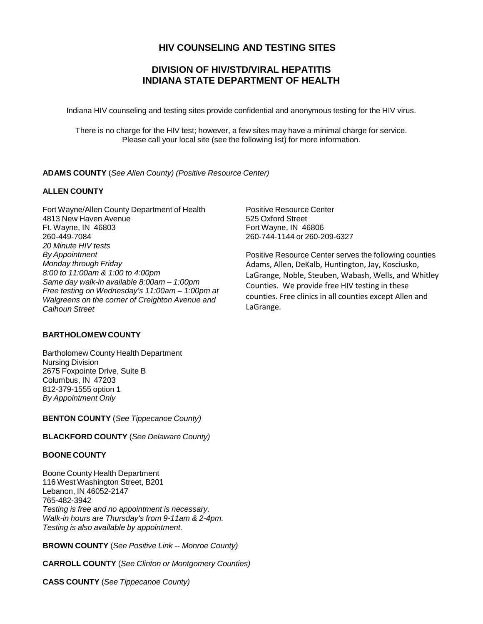# **HIV COUNSELING AND TESTING SITES**

# **DIVISION OF HIV/STD/VIRAL HEPATITIS INDIANA STATE DEPARTMENT OF HEALTH**

Indiana HIV counseling and testing sites provide confidential and anonymous testing for the HIV virus.

There is no charge for the HIV test; however, a few sites may have a minimal charge for service. Please call your local site (see the following list) for more information.

## **ADAMS COUNTY** (*See Allen County) (Positive Resource Center)*

# **ALLEN COUNTY**

Fort Wayne/Allen County Department of Health 4813 New Haven Avenue Ft. Wayne, IN 46803 260-449-7084 *20 Minute HIV tests By Appointment Monday through Friday 8:00 to 11:00am & 1:00 to 4:00pm Same day walk-in available 8:00am – 1:00pm Free testing on Wednesday's 11:00am – 1:00pm at Walgreens on the corner of Creighton Avenue and Calhoun Street*

# **BARTHOLOMEW COUNTY**

Bartholomew County Health Department Nursing Division 2675 Foxpointe Drive, Suite B Columbus, IN 47203 812-379-1555 option 1 *By Appointment Only*

**BENTON COUNTY** (*See Tippecanoe County)*

#### **BLACKFORD COUNTY** (*See Delaware County)*

## **BOONE COUNTY**

Boone County Health Department 116 West Washington Street, B201 Lebanon, IN 46052-2147 765-482-3942 *Testing is free and no appointment is necessary. Walk-in hours are Thursday's from 9-11am & 2-4pm. Testing is also available by appointment.*

**BROWN COUNTY** (*See Positive Link -- Monroe County)*

**CARROLL COUNTY** (*See Clinton or Montgomery Counties)*

**CASS COUNTY** (*See Tippecanoe County)*

Positive Resource Center 525 Oxford Street Fort Wayne, IN 46806 260-744-1144 or 260-209-6327

Positive Resource Center serves the following counties Adams, Allen, DeKalb, Huntington, Jay, Kosciusko, LaGrange, Noble, Steuben, Wabash, Wells, and Whitley Counties. We provide free HIV testing in these counties. Free clinics in all counties except Allen and LaGrange.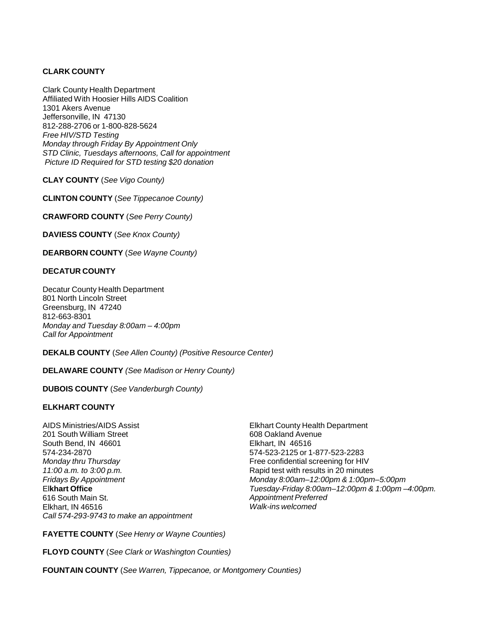# **CLARK COUNTY**

Clark County Health Department Affiliated With Hoosier Hills AIDS Coalition 1301 Akers Avenue Jeffersonville, IN 47130 812-288-2706 or 1-800-828-5624 *Free HIV/STD Testing Monday through Friday By Appointment Only STD Clinic, Tuesdays afternoons, Call for appointment Picture ID Required for STD testing \$20 donation*

**CLAY COUNTY** (*See Vigo County)*

**CLINTON COUNTY** (*See Tippecanoe County)*

**CRAWFORD COUNTY** (*See Perry County)*

**DAVIESS COUNTY** (*See Knox County)*

**DEARBORN COUNTY** (*See Wayne County)*

#### **DECATUR COUNTY**

Decatur County Health Department 801 North Lincoln Street Greensburg, IN 47240 812-663-8301 *Monday and Tuesday 8:00am – 4:00pm Call for Appointment*

**DEKALB COUNTY** (*See Allen County) (Positive Resource Center)*

**DELAWARE COUNTY** *(See Madison or Henry County)*

**DUBOIS COUNTY** (*See Vanderburgh County)*

#### **ELKHART COUNTY**

AIDS Ministries/AIDS Assist 201 South William Street South Bend, IN 46601 574-234-2870 *Monday thru Thursday 11:00 a.m. to 3:00 p.m. Fridays By Appointment* El**khart Office** 616 South Main St. Elkhart, IN 46516 *Call 574-293-9743 to make an appointment* Elkhart County Health Department 608 Oakland Avenue Elkhart, IN 46516 574-523-2125 or 1-877-523-2283 Free confidential screening for HIV Rapid test with results in 20 minutes *Monday 8:00am–12:00pm & 1:00pm–5:00pm Tuesday-Friday 8:00am–12:00pm & 1:00pm –4:00pm. Appointment Preferred Walk-ins welcomed*

**FAYETTE COUNTY** (*See Henry or Wayne Counties)*

**FLOYD COUNTY** (*See Clark or Washington Counties)*

**FOUNTAIN COUNTY** (*See Warren, Tippecanoe, or Montgomery Counties)*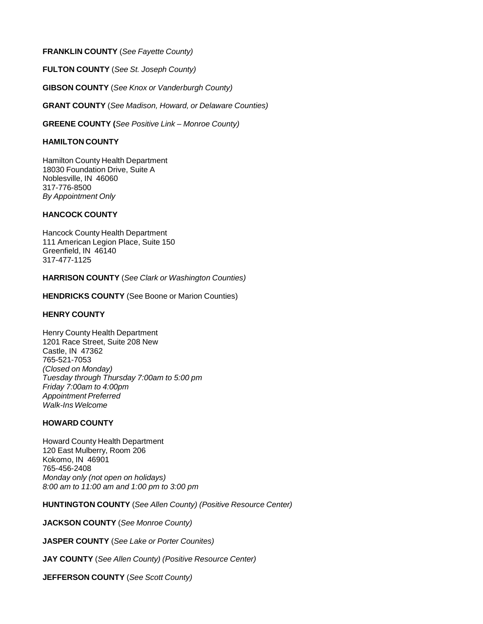## **FRANKLIN COUNTY** (*See Fayette County)*

**FULTON COUNTY** (*See St. Joseph County)*

**GIBSON COUNTY** (*See Knox or Vanderburgh County)*

**GRANT COUNTY** (*See Madison, Howard, or Delaware Counties)*

**GREENE COUNTY (***See Positive Link – Monroe County)*

#### **HAMILTON COUNTY**

Hamilton County Health Department 18030 Foundation Drive, Suite A Noblesville, IN 46060 317-776-8500 *By Appointment Only*

## **HANCOCK COUNTY**

Hancock County Health Department 111 American Legion Place, Suite 150 Greenfield, IN 46140 317-477-1125

**HARRISON COUNTY** (*See Clark or Washington Counties)*

**HENDRICKS COUNTY** (See Boone or Marion Counties)

### **HENRY COUNTY**

Henry County Health Department 1201 Race Street, Suite 208 New Castle, IN 47362 765-521-7053 *(Closed on Monday) Tuesday through Thursday 7:00am to 5:00 pm Friday 7:00am to 4:00pm Appointment Preferred Walk-Ins Welcome*

#### **HOWARD COUNTY**

Howard County Health Department 120 East Mulberry, Room 206 Kokomo, IN 46901 765-456-2408 *Monday only (not open on holidays) 8:00 am to 11:00 am and 1:00 pm to 3:00 pm*

**HUNTINGTON COUNTY** (*See Allen County) (Positive Resource Center)*

**JACKSON COUNTY** (*See Monroe County)*

**JASPER COUNTY** (*See Lake or Porter Counites)*

**JAY COUNTY** (*See Allen County) (Positive Resource Center)*

**JEFFERSON COUNTY** (*See Scott County)*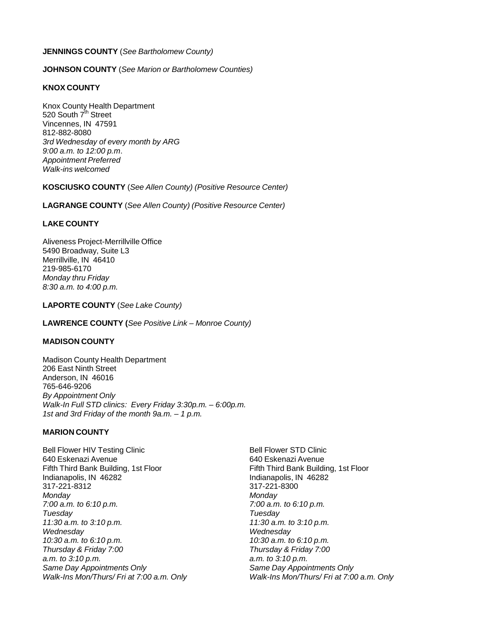## **JENNINGS COUNTY** (*See Bartholomew County)*

## **JOHNSON COUNTY** (*See Marion or Bartholomew Counties)*

#### **KNOX COUNTY**

Knox County Health Department 520 South 7<sup>th</sup> Street Vincennes, IN 47591 812-882-8080 *3rd Wednesday of every month by ARG 9:00 a.m. to 12:00 p.m*. *Appointment Preferred Walk-ins welcomed*

**KOSCIUSKO COUNTY** (*See Allen County) (Positive Resource Center)*

**LAGRANGE COUNTY** (*See Allen County) (Positive Resource Center)*

## **LAKE COUNTY**

Aliveness Project-Merrillville Office 5490 Broadway, Suite L3 Merrillville, IN 46410 219-985-6170 *Monday thru Friday 8:30 a.m. to 4:00 p.m.*

#### **LAPORTE COUNTY** (*See Lake County)*

**LAWRENCE COUNTY (***See Positive Link – Monroe County)*

#### **MADISON COUNTY**

Madison County Health Department 206 East Ninth Street Anderson, IN 46016 765-646-9206 *By Appointment Only Walk-In Full STD clinics: Every Friday 3:30p.m. – 6:00p.m. 1st and 3rd Friday of the month 9a.m. – 1 p.m.*

#### **MARION COUNTY**

Bell Flower HIV Testing Clinic 640 Eskenazi Avenue Fifth Third Bank Building, 1st Floor Indianapolis, IN 46282 317-221-8312 *Monday 7:00 a.m. to 6:10 p.m. Tuesday 11:30 a.m. to 3:10 p.m. Wednesday 10:30 a.m. to 6:10 p.m. Thursday & Friday 7:00 a.m. to 3:10 p.m. Same Day Appointments Only Walk-Ins Mon/Thurs/ Fri at 7:00 a.m. Only* Bell Flower STD Clinic 640 Eskenazi Avenue Fifth Third Bank Building, 1st Floor Indianapolis, IN 46282 317-221-8300 *Monday 7:00 a.m. to 6:10 p.m. Tuesday 11:30 a.m. to 3:10 p.m. Wednesday 10:30 a.m. to 6:10 p.m. Thursday & Friday 7:00 a.m. to 3:10 p.m. Same Day Appointments Only Walk-Ins Mon/Thurs/ Fri at 7:00 a.m. Only*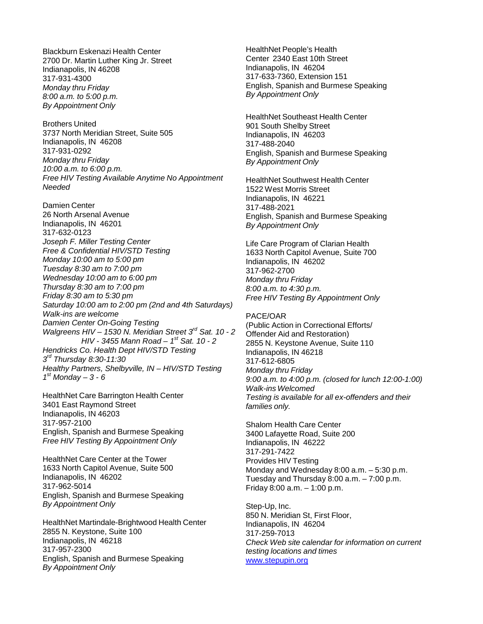Blackburn Eskenazi Health Center 2700 Dr. Martin Luther King Jr. Street Indianapolis, IN 46208 317-931-4300 *Monday thru Friday 8:00 a.m. to 5:00 p.m. By Appointment Only*

Brothers United 3737 North Meridian Street, Suite 505 Indianapolis, IN 46208 317-931-0292 *Monday thru Friday 10:00 a.m. to 6:00 p.m. Free HIV Testing Available Anytime No Appointment Needed*

Damien Center 26 North Arsenal Avenue Indianapolis, IN 46201 317-632-0123 *Joseph F. Miller Testing Center Free & Confidential HIV/STD Testing Monday 10:00 am to 5:00 pm Tuesday 8:30 am to 7:00 pm Wednesday 10:00 am to 6:00 pm Thursday 8:30 am to 7:00 pm Friday 8:30 am to 5:30 pm Saturday 10:00 am to 2:00 pm (2nd and 4th Saturdays) Walk-ins are welcome Damien Center On-Going Testing Walgreens HIV – 1530 N. Meridian Street 3rd Sat. 10 - 2 HIV - 3455 Mann Road – 1st Sat. 10 - 2 Hendricks Co. Health Dept HIV/STD Testing 3rd Thursday 8:30-11:30 Healthy Partners, Shelbyville, IN – HIV/STD Testing 1st Monday – 3 - 6*

HealthNet Care Barrington Health Center 3401 East Raymond Street Indianapolis, IN 46203 317-957-2100 English, Spanish and Burmese Speaking *Free HIV Testing By Appointment Only*

HealthNet Care Center at the Tower 1633 North Capitol Avenue, Suite 500 Indianapolis, IN 46202 317-962-5014 English, Spanish and Burmese Speaking *By Appointment Only*

HealthNet Martindale-Brightwood Health Center 2855 N. Keystone, Suite 100 Indianapolis, IN 46218 317-957-2300 English, Spanish and Burmese Speaking *By Appointment Only*

HealthNet People's Health Center 2340 East 10th Street Indianapolis, IN 46204 317-633-7360, Extension 151 English, Spanish and Burmese Speaking *By Appointment Only*

HealthNet Southeast Health Center 901 South Shelby Street Indianapolis, IN 46203 317-488-2040 English, Spanish and Burmese Speaking *By Appointment Only*

HealthNet Southwest Health Center 1522 West Morris Street Indianapolis, IN 46221 317-488-2021 English, Spanish and Burmese Speaking *By Appointment Only*

Life Care Program of Clarian Health 1633 North Capitol Avenue, Suite 700 Indianapolis, IN 46202 317-962-2700 *Monday thru Friday 8:00 a.m. to 4:30 p.m. Free HIV Testing By Appointment Only*

PACE/OAR (Public Action in Correctional Efforts/ Offender Aid and Restoration) 2855 N. Keystone Avenue, Suite 110 Indianapolis, IN 46218 317-612-6805 *Monday thru Friday 9:00 a.m. to 4:00 p.m. (closed for lunch 12:00-1:00) Walk-ins Welcomed Testing is available for all ex-offenders and their families only.*

Shalom Health Care Center 3400 Lafayette Road, Suite 200 Indianapolis, IN 46222 317-291-7422 Provides HIV Testing Monday and Wednesday 8:00 a.m. – 5:30 p.m. Tuesday and Thursday 8:00 a.m. – 7:00 p.m. Friday 8:00 a.m. – 1:00 p.m.

Step-Up, Inc. 850 N. Meridian St, First Floor, Indianapolis, IN 46204 317-259-7013 *Check Web site calendar for information on current testing locations and times* [www.stepupin.org](http://www.stepupin.org/)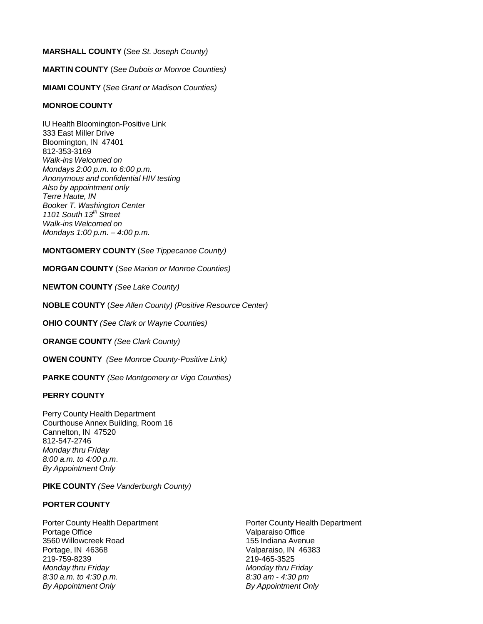# **MARSHALL COUNTY** (*See St. Joseph County)*

**MARTIN COUNTY** (*See Dubois or Monroe Counties)*

**MIAMI COUNTY** (*See Grant or Madison Counties)*

## **MONROE COUNTY**

IU Health Bloomington-Positive Link 333 East Miller Drive Bloomington, IN 47401 812-353-3169 *Walk-ins Welcomed on Mondays 2:00 p.m. to 6:00 p.m. Anonymous and confidential HIV testing Also by appointment only Terre Haute, IN Booker T. Washington Center 1101 South 13th Street Walk-ins Welcomed on Mondays 1:00 p.m. – 4:00 p.m.*

## **MONTGOMERY COUNTY** (*See Tippecanoe County)*

**MORGAN COUNTY** (*See Marion or Monroe Counties)*

**NEWTON COUNTY** *(See Lake County)*

**NOBLE COUNTY** (*See Allen County) (Positive Resource Center)*

**OHIO COUNTY** *(See Clark or Wayne Counties)*

**ORANGE COUNTY** *(See Clark County)*

**OWEN COUNTY** *(See Monroe County-Positive Link)*

**PARKE COUNTY** *(See Montgomery or Vigo Counties)*

#### **PERRY COUNTY**

Perry County Health Department Courthouse Annex Building, Room 16 Cannelton, IN 47520 812-547-2746 *Monday thru Friday 8:00 a.m. to 4:00 p.m*. *By Appointment Only*

#### **PIKE COUNTY** *(See Vanderburgh County)*

# **PORTER COUNTY**

Porter County Health Department Portage Office 3560 Willowcreek Road Portage, IN 46368 219-759-8239 *Monday thru Friday 8:30 a.m. to 4:30 p.m. By Appointment Only*

Porter County Health Department Valparaiso Office 155 Indiana Avenue Valparaiso, IN 46383 219-465-3525 *Monday thru Friday 8:30 am - 4:30 pm By Appointment Only*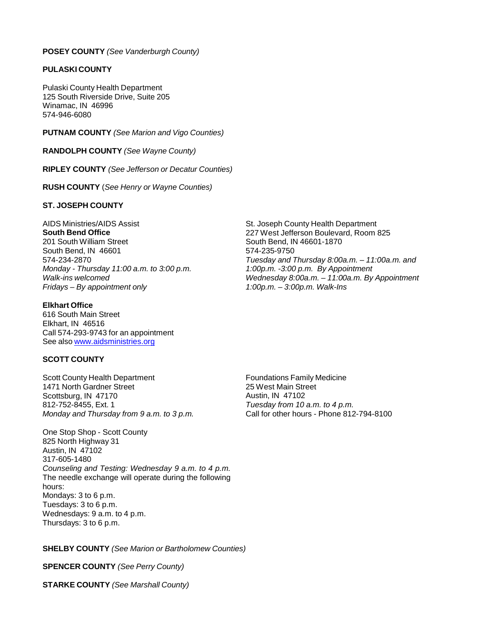#### **POSEY COUNTY** *(See Vanderburgh County)*

## **PULASKI COUNTY**

Pulaski County Health Department 125 South Riverside Drive, Suite 205 Winamac, IN 46996 574-946-6080

**PUTNAM COUNTY** *(See Marion and Vigo Counties)*

**RANDOLPH COUNTY** *(See Wayne County)*

**RIPLEY COUNTY** *(See Jefferson or Decatur Counties)*

**RUSH COUNTY** (*See Henry or Wayne Counties)*

## **ST. JOSEPH COUNTY**

AIDS Ministries/AIDS Assist **South Bend Office** 201 South William Street South Bend, IN 46601 574-234-2870 *Monday - Thursday 11:00 a.m. to 3:00 p.m. Walk-ins welcomed Fridays – By appointment only*

## **Elkhart Office**

616 South Main Street Elkhart, IN 46516 Call 574-293-9743 for an appointment See also [www.aidsministries.org](http://www.aidsministries.org/)

# **SCOTT COUNTY**

Scott County Health Department 1471 North Gardner Street Scottsburg, IN 47170 812-752-8455, Ext. 1 *Monday and Thursday from 9 a.m. to 3 p.m.*

One Stop Shop - Scott County 825 North Highway 31 Austin, IN 47102 317-605-1480 *Counseling and Testing: Wednesday 9 a.m. to 4 p.m.* The needle exchange will operate during the following hours: Mondays: 3 to 6 p.m. Tuesdays: 3 to 6 p.m. Wednesdays: 9 a.m. to 4 p.m. Thursdays: 3 to 6 p.m.

**SHELBY COUNTY** *(See Marion or Bartholomew Counties)*

**SPENCER COUNTY** *(See Perry County)*

**STARKE COUNTY** *(See Marshall County)*

St. Joseph County Health Department 227 West Jefferson Boulevard, Room 825 South Bend, IN 46601-1870 574-235-9750 *Tuesday and Thursday 8:00a.m. – 11:00a.m. and 1:00p.m. -3:00 p.m. By Appointment Wednesday 8:00a.m. – 11:00a.m. By Appointment 1:00p.m. – 3:00p.m. Walk-Ins*

Foundations Family Medicine 25 West Main Street Austin, IN 47102 *Tuesday from 10 a.m. to 4 p.m.* Call for other hours - Phone 812-794-8100